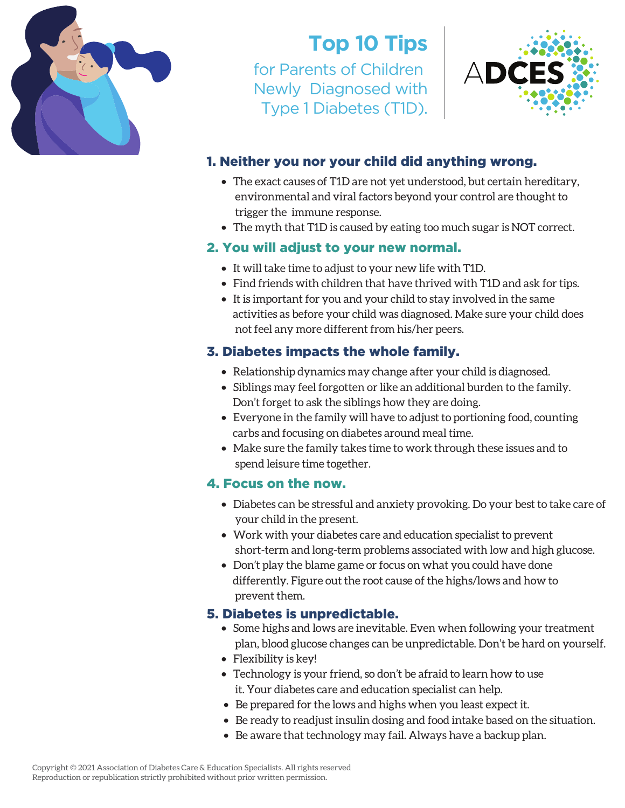

# **Top 10 Tips**

for Parents of Children Newly Diagnosed with Type 1 Diabetes (T1D).



## 1. Neither you nor your child did anything wrong.

- The exact causes of T1D are not yet understood, but certain hereditary, environmental and viral factors beyond your control are thought to trigger the immune response.
- The myth that T1D is caused by eating too much sugar is NOT correct.

### 2. You will adjust to your new normal.

- It will take time to adjust to your new life with T1D.
- Find friends with children that have thrived with T1D and ask for tips.
- It is important for you and your child to stay involved in the same activities as before your child was diagnosed. Make sure your child does not feel any more different from his/her peers.

## 3. Diabetes impacts the whole family.

- Relationship dynamics may change after your child is diagnosed.
- Siblings may feel forgotten or like an additional burden to the family. Don't forget to ask the siblings how they are doing.
- Everyone in the family will have to adjust to portioning food, counting carbs and focusing on diabetes around meal time.
- Make sure the family takes time to work through these issues and to spend leisure time together.

#### 4. Focus on the now.

- Diabetes can be stressful and anxiety provoking. Do your best to take care of your child in the present.
- Work with your diabetes care and education specialist to prevent short-term and long-term problems associated with low and high glucose.
- Don't play the blame game or focus on what you could have done differently. Figure out the root cause of the highs/lows and how to prevent them.

#### 5. Diabetes is unpredictable.

- Some highs and lows are inevitable. Even when following your treatment plan, blood glucose changes can be unpredictable. Don't be hard on yourself.
- Flexibility is key!
- Technology is your friend, so don't be afraid to learn how to use it. Your diabetes care and education specialist can help.
- Be prepared for the lows and highs when you least expect it.
- Be ready to readjust insulin dosing and food intake based on the situation.
- Be aware that technology may fail. Always have a backup plan.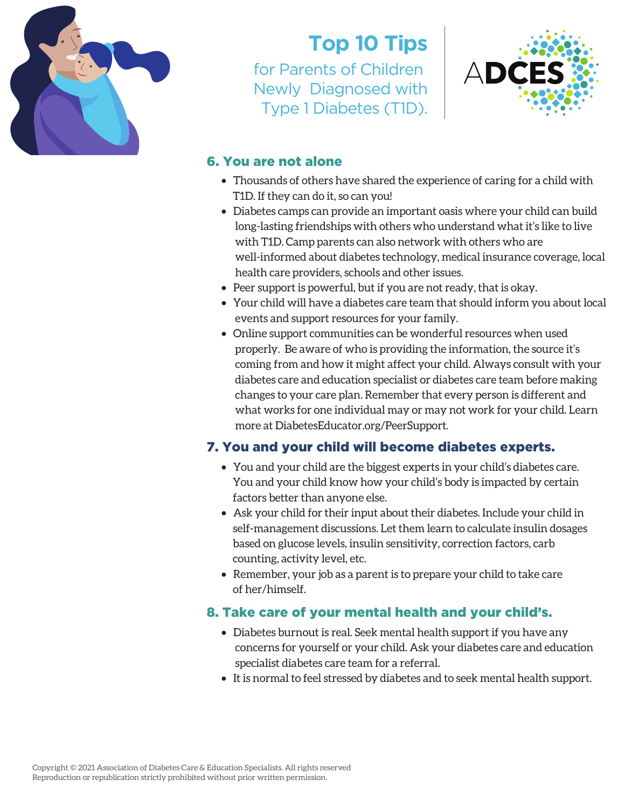

## **Top 10 Tips**

for Parents of Children Newly Diagnosed with Type 1 Diabetes (T1D).



#### 6. You are not alone

- Thousands of others have shared the experience of caring for a child with T1D. If they can do it, so can you!
- Diabetes camps can provide an important oasis where your child can build long-lasting friendships with others who understand what it's like to live with T1D. Camp parents can also network with others who are well-informed about diabetes technology, medical insurance coverage, local health care providers, schools and other issues.
- Peer support is powerful, but if you are not ready, that is okay.
- Your child will have a diabetes care team that should inform you about local events and support resources for your family.
- Online support communities can be wonderful resources when used properly. Be aware of who is providing the information, the source it's coming from and how it might affect your child. Always consult with your diabetes care and education specialist or diabetes care team before making changes to your care plan. Remember that every person is different and what works for one individual may or may not work for your child. Learn more at DiabetesEducator.org/PeerSupport.

## 7. You and your child will become diabetes experts.

- You and your child are the biggest experts in your child's diabetes care. You and your child know how your child's body is impacted by certain factors better than anyone else.
- Ask your child for their input about their diabetes. Include your child in self-management discussions. Let them learn to calculate insulin dosages based on glucose levels, insulin sensitivity, correction factors, carb counting, activity level, etc.
- Remember, your job as a parent is to prepare your child to take care of her/himself.

## 8. Take care of your mental health and your child's.

- Diabetes burnout is real. Seek mental health support if you have any concerns for yourself or your child. Ask your diabetes care and education specialist diabetes care team for a referral.
- It is normal to feel stressed by diabetes and to seek mental health support.